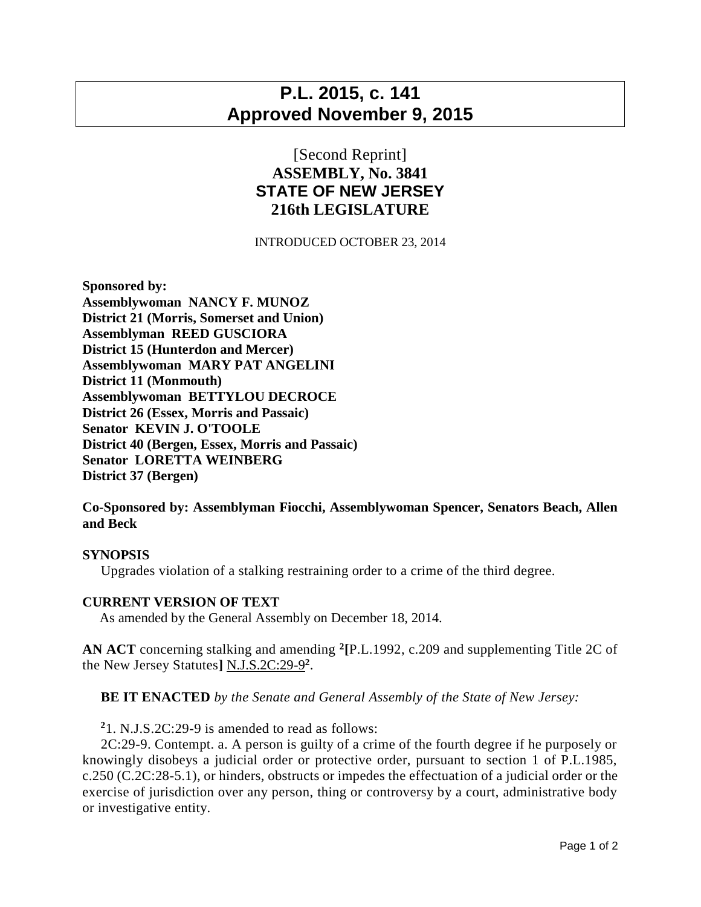# **P.L. 2015, c. 141 Approved November 9, 2015**

## [Second Reprint] **ASSEMBLY, No. 3841 STATE OF NEW JERSEY 216th LEGISLATURE**

#### INTRODUCED OCTOBER 23, 2014

**Sponsored by: Assemblywoman NANCY F. MUNOZ District 21 (Morris, Somerset and Union) Assemblyman REED GUSCIORA District 15 (Hunterdon and Mercer) Assemblywoman MARY PAT ANGELINI District 11 (Monmouth) Assemblywoman BETTYLOU DECROCE District 26 (Essex, Morris and Passaic) Senator KEVIN J. O'TOOLE District 40 (Bergen, Essex, Morris and Passaic) Senator LORETTA WEINBERG District 37 (Bergen)**

**Co-Sponsored by: Assemblyman Fiocchi, Assemblywoman Spencer, Senators Beach, Allen and Beck**

### **SYNOPSIS**

Upgrades violation of a stalking restraining order to a crime of the third degree.

#### **CURRENT VERSION OF TEXT**

As amended by the General Assembly on December 18, 2014.

**AN ACT** concerning stalking and amending **<sup>2</sup> [**P.L.1992, c.209 and supplementing Title 2C of the New Jersey Statutes**]** N.J.S.2C:29-9 **2** .

**BE IT ENACTED** *by the Senate and General Assembly of the State of New Jersey:*

**<sup>2</sup>**1. N.J.S.2C:29-9 is amended to read as follows:

 2C:29-9. Contempt. a. A person is guilty of a crime of the fourth degree if he purposely or knowingly disobeys a judicial order or protective order, pursuant to section 1 of P.L.1985, c.250 (C.2C:28-5.1), or hinders, obstructs or impedes the effectuation of a judicial order or the exercise of jurisdiction over any person, thing or controversy by a court, administrative body or investigative entity.